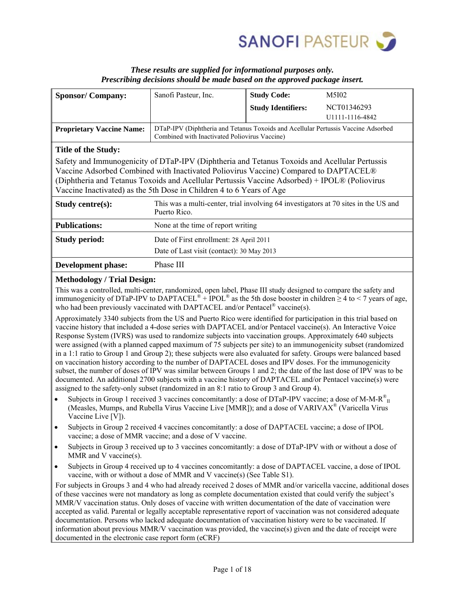

## *These results are supplied for informational purposes only. Prescribing decisions should be made based on the approved package insert.*

| <b>Sponsor/Company:</b>                                                                                                                                                                                                                                                                                                                                        | Sanofi Pasteur, Inc.                                                                                                               | <b>Study Code:</b>        | M5I02           |  |
|----------------------------------------------------------------------------------------------------------------------------------------------------------------------------------------------------------------------------------------------------------------------------------------------------------------------------------------------------------------|------------------------------------------------------------------------------------------------------------------------------------|---------------------------|-----------------|--|
|                                                                                                                                                                                                                                                                                                                                                                |                                                                                                                                    | <b>Study Identifiers:</b> | NCT01346293     |  |
|                                                                                                                                                                                                                                                                                                                                                                |                                                                                                                                    |                           | U1111-1116-4842 |  |
| <b>Proprietary Vaccine Name:</b>                                                                                                                                                                                                                                                                                                                               | DTaP-IPV (Diphtheria and Tetanus Toxoids and Acellular Pertussis Vaccine Adsorbed<br>Combined with Inactivated Poliovirus Vaccine) |                           |                 |  |
| Title of the Study:                                                                                                                                                                                                                                                                                                                                            |                                                                                                                                    |                           |                 |  |
| Safety and Immunogenicity of DTaP-IPV (Diphtheria and Tetanus Toxoids and Acellular Pertussis<br>Vaccine Adsorbed Combined with Inactivated Poliovirus Vaccine) Compared to DAPTACEL®<br>(Diphtheria and Tetanus Toxoids and Acellular Pertussis Vaccine Adsorbed) + IPOL® (Poliovirus<br>Vaccine Inactivated) as the 5th Dose in Children 4 to 6 Years of Age |                                                                                                                                    |                           |                 |  |
| Study centre(s):                                                                                                                                                                                                                                                                                                                                               | This was a multi-center, trial involving 64 investigators at 70 sites in the US and<br>Puerto Rico.                                |                           |                 |  |
| <b>Publications:</b>                                                                                                                                                                                                                                                                                                                                           | None at the time of report writing                                                                                                 |                           |                 |  |
| <b>Study period:</b>                                                                                                                                                                                                                                                                                                                                           | Date of First enrollment: 28 April 2011                                                                                            |                           |                 |  |
|                                                                                                                                                                                                                                                                                                                                                                | Date of Last visit (contact): 30 May 2013                                                                                          |                           |                 |  |
| <b>Development phase:</b>                                                                                                                                                                                                                                                                                                                                      | Phase III                                                                                                                          |                           |                 |  |

## **Methodology / Trial Design:**

This was a controlled, multi-center, randomized, open label, Phase III study designed to compare the safety and immunogenicity of DTaP-IPV to DAPTACEL<sup>®</sup> +  $\text{IPOL}^{\circledast}$  as the 5th dose booster in children  $\geq 4$  to < 7 years of age, who had been previously vaccinated with DAPTACEL and/or Pentacel<sup>®</sup> vaccine(s).

Approximately 3340 subjects from the US and Puerto Rico were identified for participation in this trial based on vaccine history that included a 4-dose series with DAPTACEL and/or Pentacel vaccine(s). An Interactive Voice Response System (IVRS) was used to randomize subjects into vaccination groups. Approximately 640 subjects were assigned (with a planned capped maximum of 75 subjects per site) to an immunogenicity subset (randomized in a 1:1 ratio to Group 1 and Group 2); these subjects were also evaluated for safety. Groups were balanced based on vaccination history according to the number of DAPTACEL doses and IPV doses. For the immunogenicity subset, the number of doses of IPV was similar between Groups 1 and 2; the date of the last dose of IPV was to be documented. An additional 2700 subjects with a vaccine history of DAPTACEL and/or Pentacel vaccine(s) were assigned to the safety-only subset (randomized in an 8:1 ratio to Group 3 and Group 4).

- Subjects in Group 1 received 3 vaccines concomitantly: a dose of DTaP-IPV vaccine; a dose of M-M- $R_{II}^{\text{\textcircled{E}}}$ (Measles, Mumps, and Rubella Virus Vaccine Live [MMR]); and a dose of VARIVA $X^{\circ}$  (Varicella Virus Vaccine Live [V]).
- Subjects in Group 2 received 4 vaccines concomitantly: a dose of DAPTACEL vaccine; a dose of IPOL vaccine; a dose of MMR vaccine; and a dose of V vaccine.
- Subjects in Group 3 received up to 3 vaccines concomitantly: a dose of DTaP-IPV with or without a dose of MMR and V vaccine(s).
- Subjects in Group 4 received up to 4 vaccines concomitantly: a dose of DAPTACEL vaccine, a dose of IPOL vaccine, with or without a dose of MMR and V vaccine(s) (See Table S1).

For subjects in Groups 3 and 4 who had already received 2 doses of MMR and/or varicella vaccine, additional doses of these vaccines were not mandatory as long as complete documentation existed that could verify the subject's MMR/V vaccination status. Only doses of vaccine with written documentation of the date of vaccination were accepted as valid. Parental or legally acceptable representative report of vaccination was not considered adequate documentation. Persons who lacked adequate documentation of vaccination history were to be vaccinated. If information about previous MMR/V vaccination was provided, the vaccine(s) given and the date of receipt were documented in the electronic case report form (eCRF)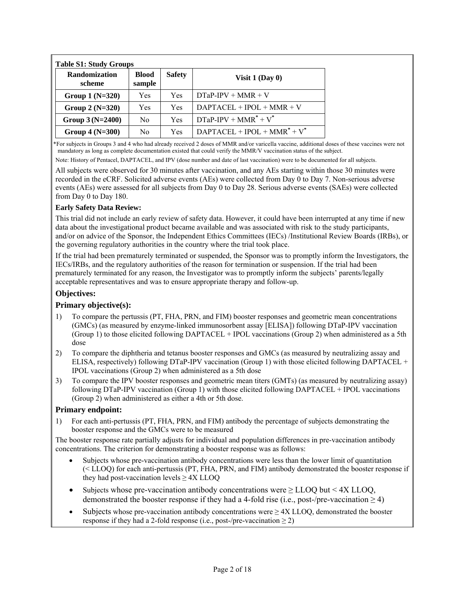| Randomization<br>scheme | <b>Blood</b><br>sample | <b>Safety</b> | Visit $1$ (Day 0)               |
|-------------------------|------------------------|---------------|---------------------------------|
| Group $1(N=320)$        | Yes                    | Yes           | $DTaP-IPV + MMR + V$            |
| Group $2(N=320)$        | Yes                    | Yes           | $DAPTACEL + IPOL + MMR + V$     |
| Group $3(N=2400)$       | No                     | Yes           | $DTaP-IPV + MMR^* + V^*$        |
| Group $4(N=300)$        | No                     | Yes           | $DAPTACEL + IPOL + MMR^* + V^*$ |

\*For subjects in Groups 3 and 4 who had already received 2 doses of MMR and/or varicella vaccine, additional doses of these vaccines were not mandatory as long as complete documentation existed that could verify the MMR/V vaccination status of the subject.

Note: History of Pentacel, DAPTACEL, and IPV (dose number and date of last vaccination) were to be documented for all subjects.

All subjects were observed for 30 minutes after vaccination, and any AEs starting within those 30 minutes were recorded in the eCRF. Solicited adverse events (AEs) were collected from Day 0 to Day 7. Non-serious adverse events (AEs) were assessed for all subjects from Day 0 to Day 28. Serious adverse events (SAEs) were collected from Day 0 to Day 180.

## **Early Safety Data Review:**

This trial did not include an early review of safety data. However, it could have been interrupted at any time if new data about the investigational product became available and was associated with risk to the study participants, and/or on advice of the Sponsor, the Independent Ethics Committees (IECs) /Institutional Review Boards (IRBs), or the governing regulatory authorities in the country where the trial took place.

If the trial had been prematurely terminated or suspended, the Sponsor was to promptly inform the Investigators, the IECs/IRBs, and the regulatory authorities of the reason for termination or suspension. If the trial had been prematurely terminated for any reason, the Investigator was to promptly inform the subjects' parents/legally acceptable representatives and was to ensure appropriate therapy and follow-up.

## **Objectives:**

## **Primary objective(s):**

- 1) To compare the pertussis (PT, FHA, PRN, and FIM) booster responses and geometric mean concentrations (GMCs) (as measured by enzyme-linked immunosorbent assay [ELISA]) following DTaP-IPV vaccination (Group 1) to those elicited following DAPTACEL + IPOL vaccinations (Group 2) when administered as a 5th dose
- 2) To compare the diphtheria and tetanus booster responses and GMCs (as measured by neutralizing assay and ELISA, respectively) following DTaP-IPV vaccination (Group 1) with those elicited following DAPTACEL + IPOL vaccinations (Group 2) when administered as a 5th dose
- 3) To compare the IPV booster responses and geometric mean titers (GMTs) (as measured by neutralizing assay) following DTaP-IPV vaccination (Group 1) with those elicited following DAPTACEL + IPOL vaccinations (Group 2) when administered as either a 4th or 5th dose.

#### **Primary endpoint:**

1) For each anti-pertussis (PT, FHA, PRN, and FIM) antibody the percentage of subjects demonstrating the booster response and the GMCs were to be measured

The booster response rate partially adjusts for individual and population differences in pre-vaccination antibody concentrations. The criterion for demonstrating a booster response was as follows:

- Subjects whose pre-vaccination antibody concentrations were less than the lower limit of quantitation (< LLOQ) for each anti-pertussis (PT, FHA, PRN, and FIM) antibody demonstrated the booster response if they had post-vaccination levels  $\geq$  4X LLOQ
- Subjects whose pre-vaccination antibody concentrations were  $\geq$  LLOQ but  $\leq$  4X LLOQ, demonstrated the booster response if they had a 4-fold rise (i.e., post-/pre-vaccination  $\geq$  4)
- Subjects whose pre-vaccination antibody concentrations were  $\geq$  4X LLOQ, demonstrated the booster response if they had a 2-fold response (i.e., post-/pre-vaccination  $\geq$  2)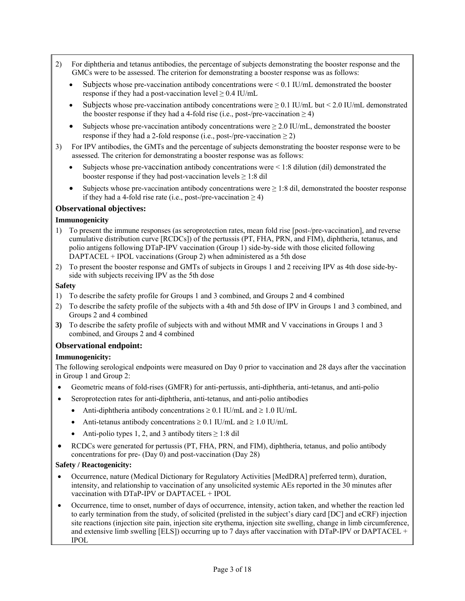- 2) For diphtheria and tetanus antibodies, the percentage of subjects demonstrating the booster response and the GMCs were to be assessed. The criterion for demonstrating a booster response was as follows:
	- Subjects whose pre-vaccination antibody concentrations were  $\leq 0.1$  IU/mL demonstrated the booster response if they had a post-vaccination level  $\geq 0.4$  IU/mL
	- Subjects whose pre-vaccination antibody concentrations were  $\geq 0.1$  IU/mL but  $\leq 2.0$  IU/mL demonstrated the booster response if they had a 4-fold rise (i.e., post-/pre-vaccination  $\geq$  4)
	- Subjects whose pre-vaccination antibody concentrations were  $\geq 2.0$  IU/mL, demonstrated the booster response if they had a 2-fold response (i.e., post-/pre-vaccination  $\geq$  2)
- 3) For IPV antibodies, the GMTs and the percentage of subjects demonstrating the booster response were to be assessed. The criterion for demonstrating a booster response was as follows:
	- Subjects whose pre-vaccination antibody concentrations were < 1:8 dilution (dil) demonstrated the booster response if they had post-vaccination levels  $\geq 1:8$  dil
	- Subjects whose pre-vaccination antibody concentrations were  $\geq 1:8$  dil, demonstrated the booster response if they had a 4-fold rise rate (i.e., post-/pre-vaccination  $\geq$  4)

## **Observational objectives:**

## **Immunogenicity**

- 1) To present the immune responses (as seroprotection rates, mean fold rise [post-/pre-vaccination], and reverse cumulative distribution curve [RCDCs]) of the pertussis (PT, FHA, PRN, and FIM), diphtheria, tetanus, and polio antigens following DTaP-IPV vaccination (Group 1) side-by-side with those elicited following DAPTACEL + IPOL vaccinations (Group 2) when administered as a 5th dose
- 2) To present the booster response and GMTs of subjects in Groups 1 and 2 receiving IPV as 4th dose side-byside with subjects receiving IPV as the 5th dose

### **Safety**

- 1) To describe the safety profile for Groups 1 and 3 combined, and Groups 2 and 4 combined
- 2) To describe the safety profile of the subjects with a 4th and 5th dose of IPV in Groups 1 and 3 combined, and Groups 2 and 4 combined
- **3)** To describe the safety profile of subjects with and without MMR and V vaccinations in Groups 1 and 3 combined, and Groups 2 and 4 combined

## **Observational endpoint:**

## **Immunogenicity:**

The following serological endpoints were measured on Day 0 prior to vaccination and 28 days after the vaccination in Group 1 and Group 2:

- Geometric means of fold-rises (GMFR) for anti-pertussis, anti-diphtheria, anti-tetanus, and anti-polio
	- Seroprotection rates for anti-diphtheria, anti-tetanus, and anti-polio antibodies
	- Anti-diphtheria antibody concentrations  $\geq 0.1$  IU/mL and  $\geq 1.0$  IU/mL
	- Anti-tetanus antibody concentrations  $\geq 0.1$  IU/mL and  $\geq 1.0$  IU/mL
	- Anti-polio types 1, 2, and 3 antibody titers  $\geq$  1:8 dil
- RCDCs were generated for pertussis (PT, FHA, PRN, and FIM), diphtheria, tetanus, and polio antibody concentrations for pre- (Day 0) and post-vaccination (Day 28)

#### **Safety / Reactogenicity:**

- Occurrence, nature (Medical Dictionary for Regulatory Activities [MedDRA] preferred term), duration, intensity, and relationship to vaccination of any unsolicited systemic AEs reported in the 30 minutes after vaccination with DTaP-IPV or DAPTACEL + IPOL
- Occurrence, time to onset, number of days of occurrence, intensity, action taken, and whether the reaction led to early termination from the study, of solicited (prelisted in the subject's diary card [DC] and eCRF) injection site reactions (injection site pain, injection site erythema, injection site swelling, change in limb circumference, and extensive limb swelling [ELS]) occurring up to 7 days after vaccination with DTaP-IPV or DAPTACEL + IPOL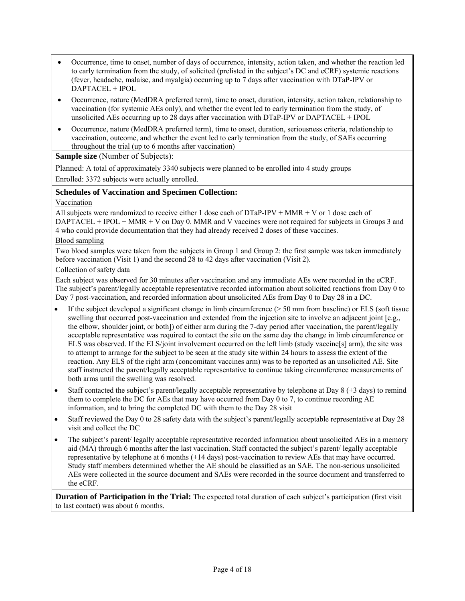- Occurrence, time to onset, number of days of occurrence, intensity, action taken, and whether the reaction led to early termination from the study, of solicited (prelisted in the subject's DC and eCRF) systemic reactions (fever, headache, malaise, and myalgia) occurring up to 7 days after vaccination with DTaP-IPV or DAPTACEL + IPOL
- Occurrence, nature (MedDRA preferred term), time to onset, duration, intensity, action taken, relationship to vaccination (for systemic AEs only), and whether the event led to early termination from the study, of unsolicited AEs occurring up to 28 days after vaccination with DTaP-IPV or DAPTACEL + IPOL
- Occurrence, nature (MedDRA preferred term), time to onset, duration, seriousness criteria, relationship to vaccination, outcome, and whether the event led to early termination from the study, of SAEs occurring throughout the trial (up to 6 months after vaccination)

### **Sample size** (Number of Subjects):

Planned: A total of approximately 3340 subjects were planned to be enrolled into 4 study groups

Enrolled: 3372 subjects were actually enrolled.

## **Schedules of Vaccination and Specimen Collection:**

### Vaccination

All subjects were randomized to receive either 1 dose each of  $DTaP-IPV + MMR + V$  or 1 dose each of DAPTACEL + IPOL + MMR + V on Day 0. MMR and V vaccines were not required for subjects in Groups 3 and 4 who could provide documentation that they had already received 2 doses of these vaccines.

### Blood sampling

Two blood samples were taken from the subjects in Group 1 and Group 2: the first sample was taken immediately before vaccination (Visit 1) and the second 28 to 42 days after vaccination (Visit 2).

### Collection of safety data

Each subject was observed for 30 minutes after vaccination and any immediate AEs were recorded in the eCRF. The subject's parent/legally acceptable representative recorded information about solicited reactions from Day 0 to Day 7 post-vaccination, and recorded information about unsolicited AEs from Day 0 to Day 28 in a DC.

- If the subject developed a significant change in limb circumference  $($  > 50 mm from baseline) or ELS (soft tissue swelling that occurred post-vaccination and extended from the injection site to involve an adjacent joint [e.g., the elbow, shoulder joint, or both]) of either arm during the 7-day period after vaccination, the parent/legally acceptable representative was required to contact the site on the same day the change in limb circumference or ELS was observed. If the ELS/joint involvement occurred on the left limb (study vaccine[s] arm), the site was to attempt to arrange for the subject to be seen at the study site within 24 hours to assess the extent of the reaction. Any ELS of the right arm (concomitant vaccines arm) was to be reported as an unsolicited AE. Site staff instructed the parent/legally acceptable representative to continue taking circumference measurements of both arms until the swelling was resolved.
- Staff contacted the subject's parent/legally acceptable representative by telephone at Day 8 (+3 days) to remind them to complete the DC for AEs that may have occurred from Day 0 to 7, to continue recording AE information, and to bring the completed DC with them to the Day 28 visit
- Staff reviewed the Day 0 to 28 safety data with the subject's parent/legally acceptable representative at Day 28 visit and collect the DC
- The subject's parent/ legally acceptable representative recorded information about unsolicited AEs in a memory aid (MA) through 6 months after the last vaccination. Staff contacted the subject's parent/ legally acceptable representative by telephone at 6 months (+14 days) post-vaccination to review AEs that may have occurred. Study staff members determined whether the AE should be classified as an SAE. The non-serious unsolicited AEs were collected in the source document and SAEs were recorded in the source document and transferred to the eCRF.

**Duration of Participation in the Trial:** The expected total duration of each subject's participation (first visit to last contact) was about 6 months.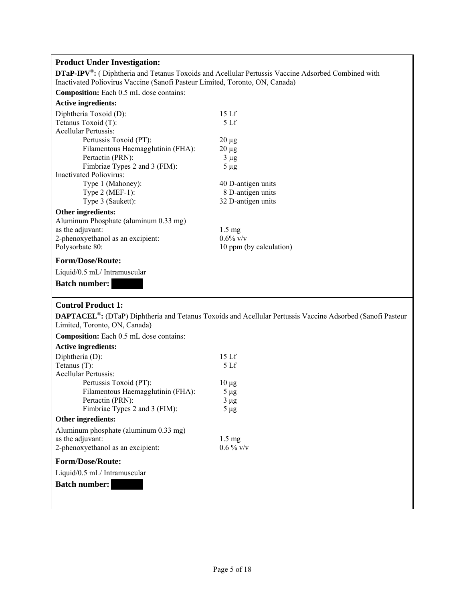# **Product Under Investigation:**

**DTaP-IPV**®**:** ( Diphtheria and Tetanus Toxoids and Acellular Pertussis Vaccine Adsorbed Combined with Inactivated Poliovirus Vaccine (Sanofi Pasteur Limited, Toronto, ON, Canada)

**Composition:** Each 0.5 mL dose contains:

## **Active ingredients:**

| Diphtheria Toxoid (D):                | 15 L f             |
|---------------------------------------|--------------------|
| Tetanus Toxoid (T):                   | 5Lf                |
| <b>Acellular Pertussis:</b>           |                    |
| Pertussis Toxoid (PT):                | $20 \mu$ g         |
| Filamentous Haemagglutinin (FHA):     | $20 \mu$ g         |
| Pertactin (PRN):                      | $3 \mu g$          |
| Fimbriae Types 2 and 3 (FIM):         | $5 \mu$ g          |
| Inactivated Poliovirus:               |                    |
| Type 1 (Mahoney):                     | 40 D-antigen units |
| Type $2$ (MEF-1):                     | 8 D-antigen units  |
| Type 3 (Saukett):                     | 32 D-antigen units |
| Other ingredients:                    |                    |
| Aluminum Phosphate (aluminum 0.33 mg) |                    |
| as the adjuvant:                      | $1.5 \text{ mg}$   |
| 2-phenoxyethanol as an excipient:     | $0.6\%$ v/v        |

Polysorbate 80: 10 ppm (by calculation)

#### **Form/Dose/Route:**

Liquid/0.5 mL/ Intramuscular

#### **Batch number:**

# **Control Product 1:**

**DAPTACEL**®**:** (DTaP) Diphtheria and Tetanus Toxoids and Acellular Pertussis Vaccine Adsorbed (Sanofi Pasteur Limited, Toronto, ON, Canada)

**Composition:** Each 0.5 mL dose contains:

#### **Active ingredients:**

| Diphtheria (D):                       | 15 Lf            |
|---------------------------------------|------------------|
| Tetanus $(T)$ :                       | 5 <sub>Lf</sub>  |
| Acellular Pertussis:                  |                  |
| Pertussis Toxoid (PT):                | $10 \mu$ g       |
| Filamentous Haemagglutinin (FHA):     | $5 \mu$ g        |
| Pertactin (PRN):                      | $3 \mu g$        |
| Fimbriae Types 2 and 3 (FIM):         | $5 \mu g$        |
| Other ingredients:                    |                  |
| Aluminum phosphate (aluminum 0.33 mg) |                  |
| as the adjuvant:                      | $1.5 \text{ mg}$ |
| 2-phenoxyethanol as an excipient:     | $0.6\%$ v/v      |
| <b>Form/Dose/Route:</b>               |                  |
| Liquid/0.5 mL/ Intramuscular          |                  |
| <b>Batch number:</b>                  |                  |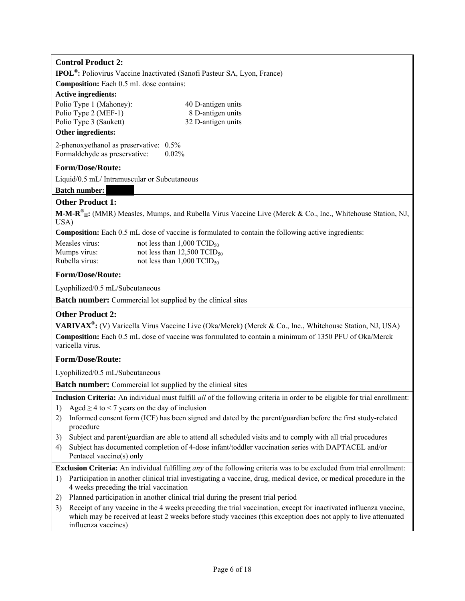# **Control Product 2:**

**IPOL®:** Poliovirus Vaccine Inactivated (Sanofi Pasteur SA, Lyon, France)

**Composition:** Each 0.5 mL dose contains:

### **Active ingredients:**

| Athan in an all antar   |                    |
|-------------------------|--------------------|
| Polio Type 3 (Saukett)  | 32 D-antigen units |
| Polio Type 2 (MEF-1)    | 8 D-antigen units  |
| Polio Type 1 (Mahoney): | 40 D-antigen units |

# **Other ingredients:**

2-phenoxyethanol as preservative: 0.5% Formaldehyde as preservative:  $0.02\%$ 

## **Form/Dose/Route:**

Liquid/0.5 mL/ Intramuscular or Subcutaneous

### **Batch number:**

# **Other Product 1:**

**M-M-R® II:** (MMR) Measles, Mumps, and Rubella Virus Vaccine Live (Merck & Co., Inc., Whitehouse Station, NJ, USA)

**Composition:** Each 0.5 mL dose of vaccine is formulated to contain the following active ingredients:

| Measles virus: | not less than $1,000$ TCID <sub>50</sub>  |
|----------------|-------------------------------------------|
| Mumps virus:   | not less than $12,500$ TCID <sub>50</sub> |
| Rubella virus: | not less than $1,000$ TCID <sub>50</sub>  |

# **Form/Dose/Route:**

Lyophilized/0.5 mL/Subcutaneous

**Batch number:** Commercial lot supplied by the clinical sites

## **Other Product 2:**

**VARIVAX®:** (V) Varicella Virus Vaccine Live (Oka/Merck) (Merck & Co., Inc., Whitehouse Station, NJ, USA) **Composition:** Each 0.5 mL dose of vaccine was formulated to contain a minimum of 1350 PFU of Oka/Merck varicella virus.

## **Form/Dose/Route:**

Lyophilized/0.5 mL/Subcutaneous

**Batch number:** Commercial lot supplied by the clinical sites

**Inclusion Criteria:** An individual must fulfill *all* of the following criteria in order to be eligible for trial enrollment:

- 1) Aged  $\geq$  4 to < 7 years on the day of inclusion
- 2) Informed consent form (ICF) has been signed and dated by the parent/guardian before the first study-related procedure
- 3) Subject and parent/guardian are able to attend all scheduled visits and to comply with all trial procedures
- 4) Subject has documented completion of 4-dose infant/toddler vaccination series with DAPTACEL and/or Pentacel vaccine(s) only

**Exclusion Criteria:** An individual fulfilling *any* of the following criteria was to be excluded from trial enrollment:

- 1) Participation in another clinical trial investigating a vaccine, drug, medical device, or medical procedure in the 4 weeks preceding the trial vaccination
- 2) Planned participation in another clinical trial during the present trial period
- 3) Receipt of any vaccine in the 4 weeks preceding the trial vaccination, except for inactivated influenza vaccine, which may be received at least 2 weeks before study vaccines (this exception does not apply to live attenuated influenza vaccines)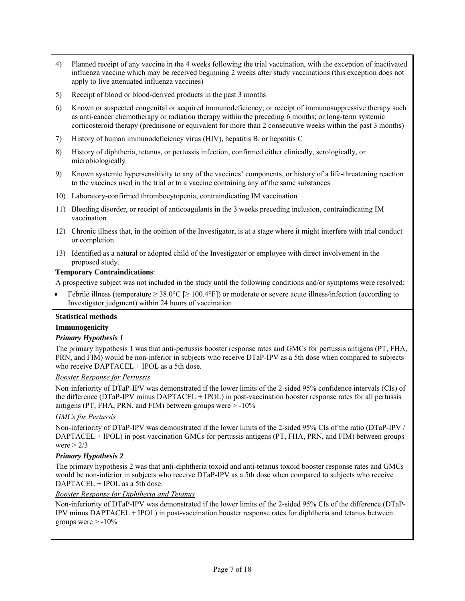- 4) Planned receipt of any vaccine in the 4 weeks following the trial vaccination, with the exception of inactivated influenza vaccine which may be received beginning 2 weeks after study vaccinations (this exception does not apply to live attenuated influenza vaccines)
- 5) Receipt of blood or blood-derived products in the past 3 months
- 6) Known or suspected congenital or acquired immunodeficiency; or receipt of immunosuppressive therapy such as anti-cancer chemotherapy or radiation therapy within the preceding 6 months; or long-term systemic corticosteroid therapy (prednisone or equivalent for more than 2 consecutive weeks within the past 3 months)
- 7) History of human immunodeficiency virus (HIV), hepatitis B, or hepatitis C
- 8) History of diphtheria, tetanus, or pertussis infection, confirmed either clinically, serologically, or microbiologically
- 9) Known systemic hypersensitivity to any of the vaccines' components, or history of a life-threatening reaction to the vaccines used in the trial or to a vaccine containing any of the same substances
- 10) Laboratory-confirmed thrombocytopenia, contraindicating IM vaccination
- 11) Bleeding disorder, or receipt of anticoagulants in the 3 weeks preceding inclusion, contraindicating IM vaccination
- 12) Chronic illness that, in the opinion of the Investigator, is at a stage where it might interfere with trial conduct or completion
- 13) Identified as a natural or adopted child of the Investigator or employee with direct involvement in the proposed study.

### **Temporary Contraindications**:

A prospective subject was not included in the study until the following conditions and/or symptoms were resolved:

Febrile illness (temperature  $\geq 38.0^{\circ}\text{C}$  [ $\geq 100.4^{\circ}\text{F}$ ]) or moderate or severe acute illness/infection (according to Investigator judgment) within 24 hours of vaccination

#### **Statistical methods**

#### **Immunogenicity**

#### *Primary Hypothesis 1*

The primary hypothesis 1 was that anti-pertussis booster response rates and GMCs for pertussis antigens (PT, FHA, PRN, and FIM) would be non-inferior in subjects who receive DTaP-IPV as a 5th dose when compared to subjects who receive DAPTACEL + IPOL as a 5th dose.

#### *Booster Response for Pertussis*

Non-inferiority of DTaP-IPV was demonstrated if the lower limits of the 2-sided 95% confidence intervals (CIs) of the difference (DTaP-IPV minus DAPTACEL + IPOL) in post-vaccination booster response rates for all pertussis antigens (PT, FHA, PRN, and FIM) between groups were  $> -10\%$ 

#### *GMCs for Pertussis*

Non-inferiority of DTaP-IPV was demonstrated if the lower limits of the 2-sided 95% CIs of the ratio (DTaP-IPV / DAPTACEL + IPOL) in post-vaccination GMCs for pertussis antigens (PT, FHA, PRN, and FIM) between groups were  $> 2/3$ 

#### *Primary Hypothesis 2*

The primary hypothesis 2 was that anti-diphtheria toxoid and anti-tetanus toxoid booster response rates and GMCs would be non-inferior in subjects who receive DTaP-IPV as a 5th dose when compared to subjects who receive DAPTACEL + IPOL as a 5th dose.

#### *Booster Response for Diphtheria and Tetanus*

Non-inferiority of DTaP-IPV was demonstrated if the lower limits of the 2-sided 95% CIs of the difference (DTaP-IPV minus DAPTACEL + IPOL) in post-vaccination booster response rates for diphtheria and tetanus between groups were  $> -10\%$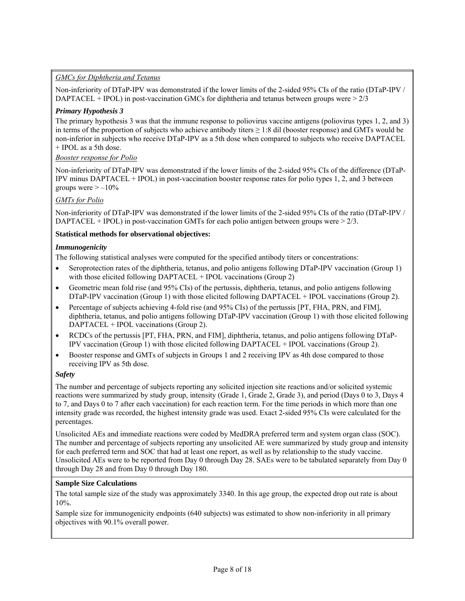# *GMCs for Diphtheria and Tetanus*

Non-inferiority of DTaP-IPV was demonstrated if the lower limits of the 2-sided 95% CIs of the ratio (DTaP-IPV / DAPTACEL + IPOL) in post-vaccination GMCs for diphtheria and tetanus between groups were  $>2/3$ 

### *Primary Hypothesis 3*

The primary hypothesis 3 was that the immune response to poliovirus vaccine antigens (poliovirus types 1, 2, and 3) in terms of the proportion of subjects who achieve antibody titers  $\geq 1:8$  dil (booster response) and GMTs would be non-inferior in subjects who receive DTaP-IPV as a 5th dose when compared to subjects who receive DAPTACEL + IPOL as a 5th dose.

### *Booster response for Polio*

Non-inferiority of DTaP-IPV was demonstrated if the lower limits of the 2-sided 95% CIs of the difference (DTaP-IPV minus DAPTACEL + IPOL) in post-vaccination booster response rates for polio types 1, 2, and 3 between groups were  $> -10\%$ 

## *GMTs for Polio*

Non-inferiority of DTaP-IPV was demonstrated if the lower limits of the 2-sided 95% CIs of the ratio (DTaP-IPV / DAPTACEL + IPOL) in post-vaccination GMTs for each polio antigen between groups were  $> 2/3$ .

### **Statistical methods for observational objectives:**

#### *Immunogenicity*

The following statistical analyses were computed for the specified antibody titers or concentrations:

- Seroprotection rates of the diphtheria, tetanus, and polio antigens following DTaP-IPV vaccination (Group 1) with those elicited following DAPTACEL + IPOL vaccinations (Group 2)
- Geometric mean fold rise (and 95% CIs) of the pertussis, diphtheria, tetanus, and polio antigens following DTaP-IPV vaccination (Group 1) with those elicited following DAPTACEL + IPOL vaccinations (Group 2).
- Percentage of subjects achieving 4-fold rise (and 95% CIs) of the pertussis [PT, FHA, PRN, and FIM], diphtheria, tetanus, and polio antigens following DTaP-IPV vaccination (Group 1) with those elicited following DAPTACEL + IPOL vaccinations (Group 2).
- RCDCs of the pertussis [PT, FHA, PRN, and FIM], diphtheria, tetanus, and polio antigens following DTaP-IPV vaccination (Group 1) with those elicited following DAPTACEL + IPOL vaccinations (Group 2).
- Booster response and GMTs of subjects in Groups 1 and 2 receiving IPV as 4th dose compared to those receiving IPV as 5th dose.

#### *Safety*

The number and percentage of subjects reporting any solicited injection site reactions and/or solicited systemic reactions were summarized by study group, intensity (Grade 1, Grade 2, Grade 3), and period (Days 0 to 3, Days 4 to 7, and Days 0 to 7 after each vaccination) for each reaction term. For the time periods in which more than one intensity grade was recorded, the highest intensity grade was used. Exact 2-sided 95% CIs were calculated for the percentages.

Unsolicited AEs and immediate reactions were coded by MedDRA preferred term and system organ class (SOC). The number and percentage of subjects reporting any unsolicited AE were summarized by study group and intensity for each preferred term and SOC that had at least one report, as well as by relationship to the study vaccine. Unsolicited AEs were to be reported from Day 0 through Day 28. SAEs were to be tabulated separately from Day 0 through Day 28 and from Day 0 through Day 180.

#### **Sample Size Calculations**

The total sample size of the study was approximately 3340. In this age group, the expected drop out rate is about 10%.

Sample size for immunogenicity endpoints (640 subjects) was estimated to show non-inferiority in all primary objectives with 90.1% overall power.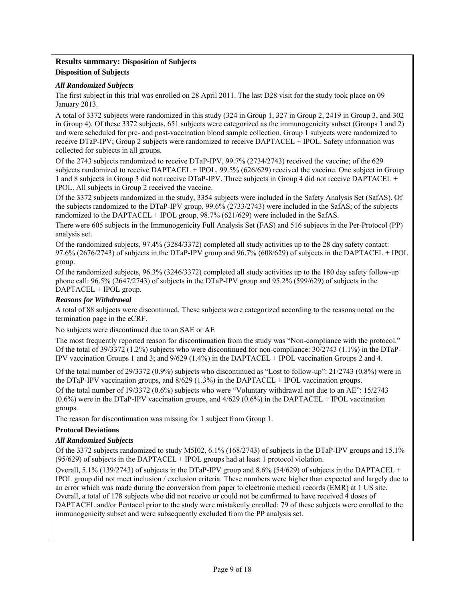### **Results summary: Disposition of Subjects Disposition of Subjects**

### *All Randomized Subjects*

The first subject in this trial was enrolled on 28 April 2011. The last D28 visit for the study took place on 09 January 2013.

A total of 3372 subjects were randomized in this study (324 in Group 1, 327 in Group 2, 2419 in Group 3, and 302 in Group 4). Of these 3372 subjects, 651 subjects were categorized as the immunogenicity subset (Groups 1 and 2) and were scheduled for pre- and post-vaccination blood sample collection. Group 1 subjects were randomized to receive DTaP-IPV; Group 2 subjects were randomized to receive DAPTACEL + IPOL. Safety information was collected for subjects in all groups.

Of the 2743 subjects randomized to receive DTaP-IPV, 99.7% (2734/2743) received the vaccine; of the 629 subjects randomized to receive DAPTACEL + IPOL, 99.5% (626/629) received the vaccine. One subject in Group 1 and 8 subjects in Group 3 did not receive DTaP-IPV. Three subjects in Group 4 did not receive DAPTACEL + IPOL. All subjects in Group 2 received the vaccine.

Of the 3372 subjects randomized in the study, 3354 subjects were included in the Safety Analysis Set (SafAS). Of the subjects randomized to the DTaP-IPV group, 99.6% (2733/2743) were included in the SafAS; of the subjects randomized to the DAPTACEL + IPOL group, 98.7% (621/629) were included in the SafAS.

There were 605 subjects in the Immunogenicity Full Analysis Set (FAS) and 516 subjects in the Per-Protocol (PP) analysis set.

Of the randomized subjects, 97.4% (3284/3372) completed all study activities up to the 28 day safety contact: 97.6% (2676/2743) of subjects in the DTaP-IPV group and 96.7% (608/629) of subjects in the DAPTACEL + IPOL group.

Of the randomized subjects, 96.3% (3246/3372) completed all study activities up to the 180 day safety follow-up phone call: 96.5% (2647/2743) of subjects in the DTaP-IPV group and 95.2% (599/629) of subjects in the DAPTACEL + IPOL group.

### *Reasons for Withdrawal*

A total of 88 subjects were discontinued. These subjects were categorized according to the reasons noted on the termination page in the eCRF.

No subjects were discontinued due to an SAE or AE

The most frequently reported reason for discontinuation from the study was "Non-compliance with the protocol." Of the total of 39/3372 (1.2%) subjects who were discontinued for non-compliance: 30/2743 (1.1%) in the DTaP-IPV vaccination Groups 1 and 3; and 9/629 (1.4%) in the DAPTACEL + IPOL vaccination Groups 2 and 4.

Of the total number of 29/3372 (0.9%) subjects who discontinued as "Lost to follow-up": 21/2743 (0.8%) were in the DTaP-IPV vaccination groups, and 8/629 (1.3%) in the DAPTACEL + IPOL vaccination groups.

Of the total number of 19/3372 (0.6%) subjects who were "Voluntary withdrawal not due to an AE": 15/2743  $(0.6\%)$  were in the DTaP-IPV vaccination groups, and  $4/629$   $(0.6\%)$  in the DAPTACEL + IPOL vaccination groups.

The reason for discontinuation was missing for 1 subject from Group 1.

#### **Protocol Deviations**

## *All Randomized Subjects*

Of the 3372 subjects randomized to study M5I02, 6.1% (168/2743) of subjects in the DTaP-IPV groups and 15.1% (95/629) of subjects in the DAPTACEL + IPOL groups had at least 1 protocol violation.

Overall, 5.1% (139/2743) of subjects in the DTaP-IPV group and 8.6% (54/629) of subjects in the DAPTACEL + IPOL group did not meet inclusion / exclusion criteria. These numbers were higher than expected and largely due to an error which was made during the conversion from paper to electronic medical records (EMR) at 1 US site. Overall, a total of 178 subjects who did not receive or could not be confirmed to have received 4 doses of DAPTACEL and/or Pentacel prior to the study were mistakenly enrolled: 79 of these subjects were enrolled to the immunogenicity subset and were subsequently excluded from the PP analysis set.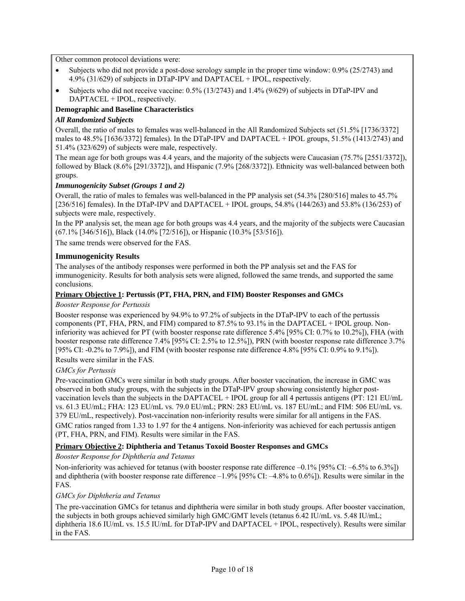Other common protocol deviations were:

- Subjects who did not provide a post-dose serology sample in the proper time window: 0.9% (25/2743) and 4.9% (31/629) of subjects in DTaP-IPV and DAPTACEL + IPOL, respectively.
- Subjects who did not receive vaccine: 0.5% (13/2743) and 1.4% (9/629) of subjects in DTaP-IPV and DAPTACEL + IPOL, respectively.

# **Demographic and Baseline Characteristics**

## *All Randomized Subjects*

Overall, the ratio of males to females was well-balanced in the All Randomized Subjects set (51.5% [1736/3372] males to 48.5% [1636/3372] females). In the DTaP-IPV and DAPTACEL + IPOL groups, 51.5% (1413/2743) and 51.4% (323/629) of subjects were male, respectively.

The mean age for both groups was 4.4 years, and the majority of the subjects were Caucasian (75.7% [2551/3372]), followed by Black (8.6% [291/3372]), and Hispanic (7.9% [268/3372]). Ethnicity was well-balanced between both groups.

## *Immunogenicity Subset (Groups 1 and 2)*

Overall, the ratio of males to females was well-balanced in the PP analysis set (54.3% [280/516] males to 45.7% [236/516] females). In the DTaP-IPV and DAPTACEL + IPOL groups, 54.8% (144/263) and 53.8% (136/253) of subjects were male, respectively.

In the PP analysis set, the mean age for both groups was 4.4 years, and the majority of the subjects were Caucasian (67.1% [346/516]), Black (14.0% [72/516]), or Hispanic (10.3% [53/516]).

The same trends were observed for the FAS.

### **Immunogenicity Results**

The analyses of the antibody responses were performed in both the PP analysis set and the FAS for immunogenicity. Results for both analysis sets were aligned, followed the same trends, and supported the same conclusions.

### **Primary Objective 1: Pertussis (PT, FHA, PRN, and FIM) Booster Responses and GMCs**

#### *Booster Response for Pertussis*

Booster response was experienced by 94.9% to 97.2% of subjects in the DTaP-IPV to each of the pertussis components (PT, FHA, PRN, and FIM) compared to 87.5% to 93.1% in the DAPTACEL + IPOL group. Noninferiority was achieved for PT (with booster response rate difference 5.4% [95% CI: 0.7% to 10.2%]), FHA (with booster response rate difference 7.4% [95% CI: 2.5% to 12.5%]), PRN (with booster response rate difference 3.7% [95% CI: -0.2% to 7.9%]), and FIM (with booster response rate difference 4.8% [95% CI: 0.9% to 9.1%]).

Results were similar in the FAS.

#### *GMCs for Pertussis*

Pre-vaccination GMCs were similar in both study groups. After booster vaccination, the increase in GMC was observed in both study groups, with the subjects in the DTaP-IPV group showing consistently higher postvaccination levels than the subjects in the DAPTACEL + IPOL group for all 4 pertussis antigens (PT: 121 EU/mL vs. 61.3 EU/mL; FHA: 123 EU/mL vs. 79.0 EU/mL; PRN: 283 EU/mL vs. 187 EU/mL; and FIM: 506 EU/mL vs. 379 EU/mL, respectively). Post-vaccination non-inferiority results were similar for all antigens in the FAS. GMC ratios ranged from 1.33 to 1.97 for the 4 antigens. Non-inferiority was achieved for each pertussis antigen (PT, FHA, PRN, and FIM). Results were similar in the FAS.

## **Primary Objective 2: Diphtheria and Tetanus Toxoid Booster Responses and GMCs**

*Booster Response for Diphtheria and Tetanus* 

Non-inferiority was achieved for tetanus (with booster response rate difference –0.1% [95% CI: –6.5% to 6.3%]) and diphtheria (with booster response rate difference  $-1.9\%$  [95% CI:  $-4.8\%$  to 0.6%]). Results were similar in the FAS.

#### *GMCs for Diphtheria and Tetanus*

The pre-vaccination GMCs for tetanus and diphtheria were similar in both study groups. After booster vaccination, the subjects in both groups achieved similarly high GMC/GMT levels (tetanus 6.42 IU/mL vs. 5.48 IU/mL; diphtheria 18.6 IU/mL vs. 15.5 IU/mL for DTaP-IPV and DAPTACEL + IPOL, respectively). Results were similar in the FAS.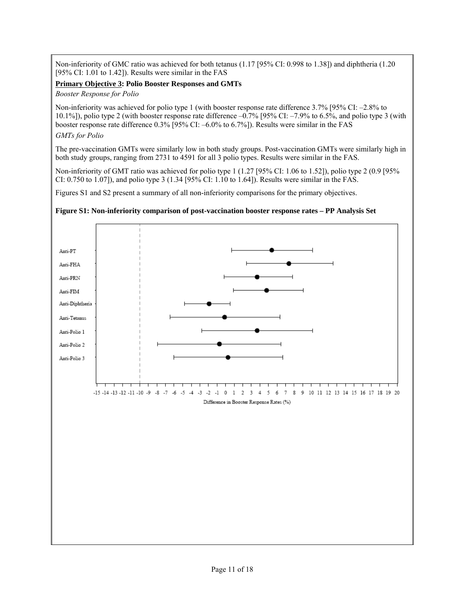Non-inferiority of GMC ratio was achieved for both tetanus (1.17 [95% CI: 0.998 to 1.38]) and diphtheria (1.20 [95% CI: 1.01 to 1.42]). Results were similar in the FAS

### **Primary Objective 3: Polio Booster Responses and GMTs**

*Booster Response for Polio* 

Non-inferiority was achieved for polio type 1 (with booster response rate difference 3.7% [95% CI: –2.8% to 10.1%]), polio type 2 (with booster response rate difference –0.7% [95% CI: –7.9% to 6.5%, and polio type 3 (with booster response rate difference 0.3% [95% CI: –6.0% to 6.7%]). Results were similar in the FAS *GMTs for Polio* 

The pre-vaccination GMTs were similarly low in both study groups. Post-vaccination GMTs were similarly high in both study groups, ranging from 2731 to 4591 for all 3 polio types. Results were similar in the FAS.

Non-inferiority of GMT ratio was achieved for polio type 1 (1.27 [95% CI: 1.06 to 1.52]), polio type 2 (0.9 [95% CI: 0.750 to 1.07]), and polio type 3 (1.34 [95% CI: 1.10 to 1.64]). Results were similar in the FAS.

Figures S1 and S2 present a summary of all non-inferiority comparisons for the primary objectives.

#### **Figure S1: Non-inferiority comparison of post-vaccination booster response rates – PP Analysis Set**

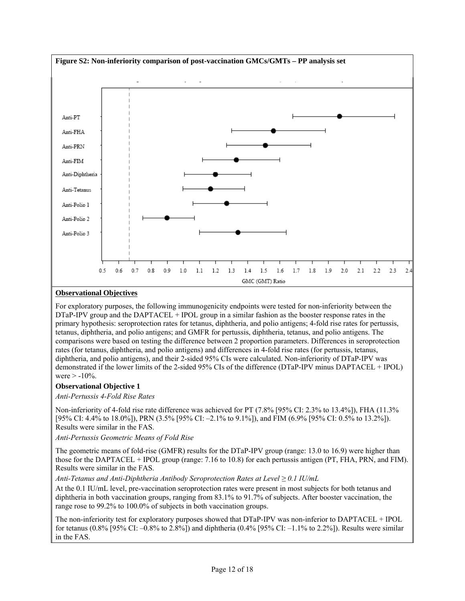

## **Observational Objectives**

For exploratory purposes, the following immunogenicity endpoints were tested for non-inferiority between the DTaP-IPV group and the DAPTACEL + IPOL group in a similar fashion as the booster response rates in the primary hypothesis: seroprotection rates for tetanus, diphtheria, and polio antigens; 4-fold rise rates for pertussis, tetanus, diphtheria, and polio antigens; and GMFR for pertussis, diphtheria, tetanus, and polio antigens. The comparisons were based on testing the difference between 2 proportion parameters. Differences in seroprotection rates (for tetanus, diphtheria, and polio antigens) and differences in 4-fold rise rates (for pertussis, tetanus, diphtheria, and polio antigens), and their 2-sided 95% CIs were calculated. Non-inferiority of DTaP-IPV was demonstrated if the lower limits of the 2-sided 95% CIs of the difference (DTaP-IPV minus DAPTACEL + IPOL) were  $> -10\%$ .

## **Observational Objective 1**

*Anti-Pertussis 4-Fold Rise Rates* 

Non-inferiority of 4-fold rise rate difference was achieved for PT (7.8% [95% CI: 2.3% to 13.4%]), FHA (11.3% [95% CI: 4.4% to 18.0%]), PRN (3.5% [95% CI: -2.1% to 9.1%]), and FIM (6.9% [95% CI: 0.5% to 13.2%]). Results were similar in the FAS.

*Anti-Pertussis Geometric Means of Fold Rise* 

The geometric means of fold-rise (GMFR) results for the DTaP-IPV group (range: 13.0 to 16.9) were higher than those for the DAPTACEL + IPOL group (range: 7.16 to 10.8) for each pertussis antigen (PT, FHA, PRN, and FIM). Results were similar in the FAS.

*Anti-Tetanus and Anti-Diphtheria Antibody Seroprotection Rates at Level ≥ 0.1 IU/mL* 

At the 0.1 IU/mL level, pre-vaccination seroprotection rates were present in most subjects for both tetanus and diphtheria in both vaccination groups, ranging from 83.1% to 91.7% of subjects. After booster vaccination, the range rose to 99.2% to 100.0% of subjects in both vaccination groups.

The non-inferiority test for exploratory purposes showed that DTaP-IPV was non-inferior to DAPTACEL + IPOL for tetanus (0.8% [95% CI: –0.8% to 2.8%]) and diphtheria (0.4% [95% CI: –1.1% to 2.2%]). Results were similar in the FAS.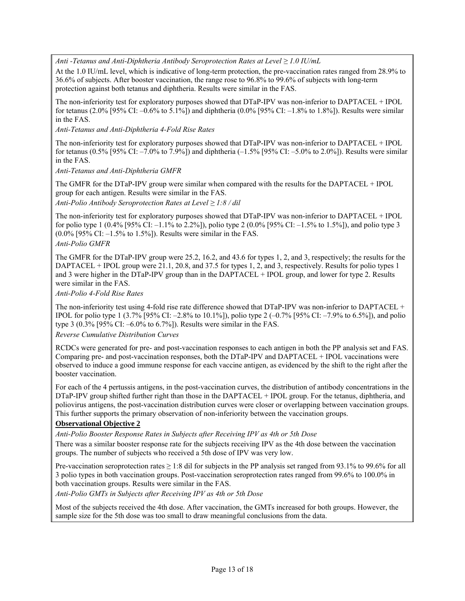*Anti -Tetanus and Anti-Diphtheria Antibody Seroprotection Rates at Level ≥ 1.0 IU/mL*

At the 1.0 IU/mL level, which is indicative of long-term protection, the pre-vaccination rates ranged from 28.9% to 36.6% of subjects. After booster vaccination, the range rose to 96.8% to 99.6% of subjects with long-term protection against both tetanus and diphtheria. Results were similar in the FAS.

The non-inferiority test for exploratory purposes showed that DTaP-IPV was non-inferior to DAPTACEL + IPOL for tetanus (2.0% [95% CI: –0.6% to 5.1%]) and diphtheria (0.0% [95% CI: –1.8% to 1.8%]). Results were similar in the FAS.

*Anti-Tetanus and Anti-Diphtheria 4-Fold Rise Rates* 

The non-inferiority test for exploratory purposes showed that DTaP-IPV was non-inferior to DAPTACEL + IPOL for tetanus (0.5% [95% CI: –7.0% to 7.9%]) and diphtheria (–1.5% [95% CI: –5.0% to 2.0%]). Results were similar in the FAS.

*Anti-Tetanus and Anti-Diphtheria GMFR* 

The GMFR for the DTaP-IPV group were similar when compared with the results for the DAPTACEL + IPOL group for each antigen. Results were similar in the FAS.

*Anti-Polio Antibody Seroprotection Rates at Level ≥ 1:8 / dil* 

The non-inferiority test for exploratory purposes showed that DTaP-IPV was non-inferior to DAPTACEL + IPOL for polio type 1 (0.4% [95% CI: –1.1% to 2.2%]), polio type 2 (0.0% [95% CI: –1.5% to 1.5%]), and polio type 3 (0.0% [95% CI: –1.5% to 1.5%]). Results were similar in the FAS.

#### *Anti-Polio GMFR*

The GMFR for the DTaP-IPV group were 25.2, 16.2, and 43.6 for types 1, 2, and 3, respectively; the results for the DAPTACEL + IPOL group were 21.1, 20.8, and 37.5 for types 1, 2, and 3, respectively. Results for polio types 1 and 3 were higher in the DTaP-IPV group than in the DAPTACEL + IPOL group, and lower for type 2. Results were similar in the FAS.

*Anti-Polio 4-Fold Rise Rates* 

The non-inferiority test using 4-fold rise rate difference showed that DTaP-IPV was non-inferior to DAPTACEL + IPOL for polio type 1 (3.7% [95% CI: –2.8% to 10.1%]), polio type 2 (–0.7% [95% CI: –7.9% to 6.5%]), and polio type 3 (0.3% [95% CI: –6.0% to 6.7%]). Results were similar in the FAS.

*Reverse Cumulative Distribution Curves* 

RCDCs were generated for pre- and post-vaccination responses to each antigen in both the PP analysis set and FAS. Comparing pre- and post-vaccination responses, both the DTaP-IPV and DAPTACEL + IPOL vaccinations were observed to induce a good immune response for each vaccine antigen, as evidenced by the shift to the right after the booster vaccination.

For each of the 4 pertussis antigens, in the post-vaccination curves, the distribution of antibody concentrations in the DTaP-IPV group shifted further right than those in the DAPTACEL + IPOL group. For the tetanus, diphtheria, and poliovirus antigens, the post-vaccination distribution curves were closer or overlapping between vaccination groups. This further supports the primary observation of non-inferiority between the vaccination groups.

#### **Observational Objective 2**

*Anti-Polio Booster Response Rates in Subjects after Receiving IPV as 4th or 5th Dose* 

There was a similar booster response rate for the subjects receiving IPV as the 4th dose between the vaccination groups. The number of subjects who received a 5th dose of IPV was very low.

Pre-vaccination seroprotection rates  $\geq 1.8$  dil for subjects in the PP analysis set ranged from 93.1% to 99.6% for all 3 polio types in both vaccination groups. Post-vaccination seroprotection rates ranged from 99.6% to 100.0% in both vaccination groups. Results were similar in the FAS.

*Anti-Polio GMTs in Subjects after Receiving IPV as 4th or 5th Dose* 

Most of the subjects received the 4th dose. After vaccination, the GMTs increased for both groups. However, the sample size for the 5th dose was too small to draw meaningful conclusions from the data.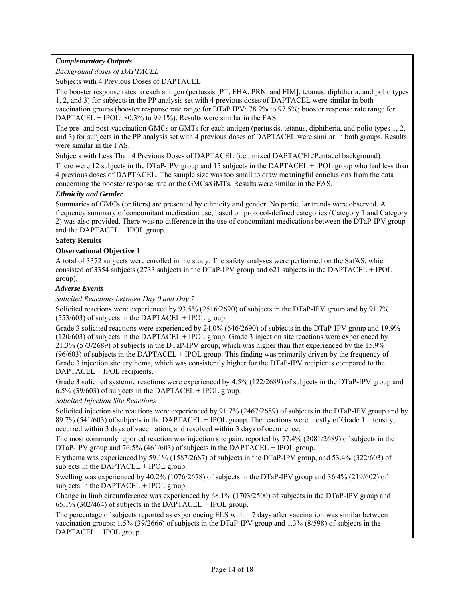# *Complementary Outputs*

*Background doses of DAPTACEL* 

Subjects with 4 Previous Doses of DAPTACEL

The booster response rates to each antigen (pertussis [PT, FHA, PRN, and FIM], tetanus, diphtheria, and polio types 1, 2, and 3) for subjects in the PP analysis set with 4 previous doses of DAPTACEL were similar in both vaccination groups (booster response rate range for DTaP IPV: 78.9% to 97.5%; booster response rate range for DAPTACEL + IPOL: 80.3% to 99.1%). Results were similar in the FAS.

The pre- and post-vaccination GMCs or GMTs for each antigen (pertussis, tetanus, diphtheria, and polio types 1, 2, and 3) for subjects in the PP analysis set with 4 previous doses of DAPTACEL were similar in both groups. Results were similar in the FAS.

Subjects with Less Than 4 Previous Doses of DAPTACEL (i.e., mixed DAPTACEL/Pentacel background)

There were 12 subjects in the DTaP-IPV group and 15 subjects in the DAPTACEL + IPOL group who had less than 4 previous doses of DAPTACEL. The sample size was too small to draw meaningful conclusions from the data concerning the booster response rate or the GMCs/GMTs. Results were similar in the FAS.

### *Ethnicity and Gender*

Summaries of GMCs (or titers) are presented by ethnicity and gender. No particular trends were observed. A frequency summary of concomitant medication use, based on protocol-defined categories (Category 1 and Category 2) was also provided. There was no difference in the use of concomitant medications between the DTaP-IPV group and the DAPTACEL + IPOL group.

### **Safety Results**

### **Observational Objective 1**

A total of 3372 subjects were enrolled in the study. The safety analyses were performed on the SafAS, which consisted of 3354 subjects (2733 subjects in the DTaP-IPV group and 621 subjects in the DAPTACEL + IPOL group).

### *Adverse Events*

*Solicited Reactions between Day 0 and Day 7* 

Solicited reactions were experienced by 93.5% (2516/2690) of subjects in the DTaP-IPV group and by 91.7% (553/603) of subjects in the DAPTACEL + IPOL group.

Grade 3 solicited reactions were experienced by 24.0% (646/2690) of subjects in the DTaP-IPV group and 19.9% (120/603) of subjects in the DAPTACEL + IPOL group. Grade 3 injection site reactions were experienced by 21.3% (573/2689) of subjects in the DTaP-IPV group, which was higher than that experienced by the 15.9% (96/603) of subjects in the DAPTACEL + IPOL group. This finding was primarily driven by the frequency of Grade 3 injection site erythema, which was consistently higher for the DTaP-IPV recipients compared to the DAPTACEL + IPOL recipients.

Grade 3 solicited systemic reactions were experienced by 4.5% (122/2689) of subjects in the DTaP-IPV group and 6.5% (39/603) of subjects in the DAPTACEL + IPOL group.

## *Solicited Injection Site Reactions*

Solicited injection site reactions were experienced by 91.7% (2467/2689) of subjects in the DTaP-IPV group and by 89.7% (541/603) of subjects in the DAPTACEL + IPOL group. The reactions were mostly of Grade 1 intensity, occurred within 3 days of vaccination, and resolved within 3 days of occurrence.

The most commonly reported reaction was injection site pain, reported by 77.4% (2081/2689) of subjects in the DTaP-IPV group and 76.5% (461/603) of subjects in the DAPTACEL + IPOL group.

Erythema was experienced by 59.1% (1587/2687) of subjects in the DTaP-IPV group, and 53.4% (322/603) of subjects in the DAPTACEL + IPOL group.

Swelling was experienced by 40.2% (1076/2678) of subjects in the DTaP-IPV group and 36.4% (219/602) of subjects in the DAPTACEL + IPOL group.

Change in limb circumference was experienced by 68.1% (1703/2500) of subjects in the DTaP-IPV group and 65.1% (302/464) of subjects in the DAPTACEL + IPOL group.

The percentage of subjects reported as experiencing ELS within 7 days after vaccination was similar between vaccination groups: 1.5% (39/2666) of subjects in the DTaP-IPV group and 1.3% (8/598) of subjects in the DAPTACEL + IPOL group.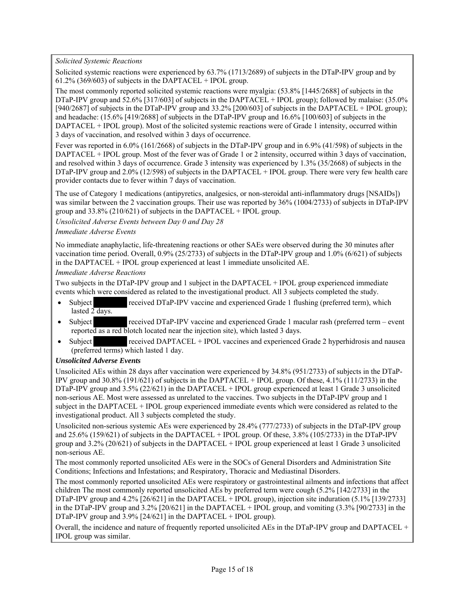*Solicited Systemic Reactions* 

Solicited systemic reactions were experienced by 63.7% (1713/2689) of subjects in the DTaP-IPV group and by  $61.2\%$  (369/603) of subjects in the DAPTACEL + IPOL group.

The most commonly reported solicited systemic reactions were myalgia: (53.8% [1445/2688] of subjects in the DTaP-IPV group and 52.6% [317/603] of subjects in the DAPTACEL + IPOL group); followed by malaise: (35.0%) [940/2687] of subjects in the DTaP-IPV group and 33.2% [200/603] of subjects in the DAPTACEL + IPOL group); and headache: (15.6% [419/2688] of subjects in the DTaP-IPV group and 16.6% [100/603] of subjects in the DAPTACEL + IPOL group). Most of the solicited systemic reactions were of Grade 1 intensity, occurred within 3 days of vaccination, and resolved within 3 days of occurrence.

Fever was reported in 6.0% (161/2668) of subjects in the DTaP-IPV group and in 6.9% (41/598) of subjects in the DAPTACEL + IPOL group. Most of the fever was of Grade 1 or 2 intensity, occurred within 3 days of vaccination, and resolved within 3 days of occurrence. Grade 3 intensity was experienced by 1.3% (35/2668) of subjects in the DTaP-IPV group and 2.0% (12/598) of subjects in the DAPTACEL + IPOL group. There were very few health care provider contacts due to fever within 7 days of vaccination.

The use of Category 1 medications (antipyretics, analgesics, or non-steroidal anti-inflammatory drugs [NSAIDs]) was similar between the 2 vaccination groups. Their use was reported by 36% (1004/2733) of subjects in DTaP-IPV group and 33.8% (210/621) of subjects in the DAPTACEL + IPOL group.

*Unsolicited Adverse Events between Day 0 and Day 28* 

### *Immediate Adverse Events*

No immediate anaphylactic, life-threatening reactions or other SAEs were observed during the 30 minutes after vaccination time period. Overall, 0.9% (25/2733) of subjects in the DTaP-IPV group and 1.0% (6/621) of subjects in the DAPTACEL + IPOL group experienced at least 1 immediate unsolicited AE.

### *Immediate Adverse Reactions*

Two subjects in the DTaP-IPV group and 1 subject in the DAPTACEL + IPOL group experienced immediate events which were considered as related to the investigational product. All 3 subjects completed the study.

- Subject received DTaP-IPV vaccine and experienced Grade 1 flushing (preferred term), which lasted 2 days.
- Subject received DTaP-IPV vaccine and experienced Grade 1 macular rash (preferred term event reported as a red blotch located near the injection site), which lasted 3 days.
- Subject received DAPTACEL + IPOL vaccines and experienced Grade 2 hyperhidrosis and nausea (preferred terms) which lasted 1 day.

## *Unsolicited Adverse Events*

Unsolicited AEs within 28 days after vaccination were experienced by 34.8% (951/2733) of subjects in the DTaP-IPV group and 30.8% (191/621) of subjects in the DAPTACEL + IPOL group. Of these, 4.1% (111/2733) in the DTaP-IPV group and 3.5% (22/621) in the DAPTACEL + IPOL group experienced at least 1 Grade 3 unsolicited non-serious AE. Most were assessed as unrelated to the vaccines. Two subjects in the DTaP-IPV group and 1 subject in the DAPTACEL + IPOL group experienced immediate events which were considered as related to the investigational product. All 3 subjects completed the study.

Unsolicited non-serious systemic AEs were experienced by 28.4% (777/2733) of subjects in the DTaP-IPV group and 25.6% (159/621) of subjects in the DAPTACEL + IPOL group. Of these, 3.8% (105/2733) in the DTaP-IPV group and 3.2% (20/621) of subjects in the DAPTACEL + IPOL group experienced at least 1 Grade 3 unsolicited non-serious AE.

The most commonly reported unsolicited AEs were in the SOCs of General Disorders and Administration Site Conditions; Infections and Infestations; and Respiratory, Thoracic and Mediastinal Disorders.

The most commonly reported unsolicited AEs were respiratory or gastrointestinal ailments and infections that affect children The most commonly reported unsolicited AEs by preferred term were cough (5.2% [142/2733] in the DTaP-IPV group and 4.2% [26/621] in the DAPTACEL + IPOL group), injection site induration (5.1% [139/2733] in the DTaP-IPV group and 3.2% [20/621] in the DAPTACEL + IPOL group, and vomiting (3.3% [90/2733] in the DTaP-IPV group and 3.9% [24/621] in the DAPTACEL + IPOL group).

Overall, the incidence and nature of frequently reported unsolicited AEs in the DTaP-IPV group and DAPTACEL + IPOL group was similar.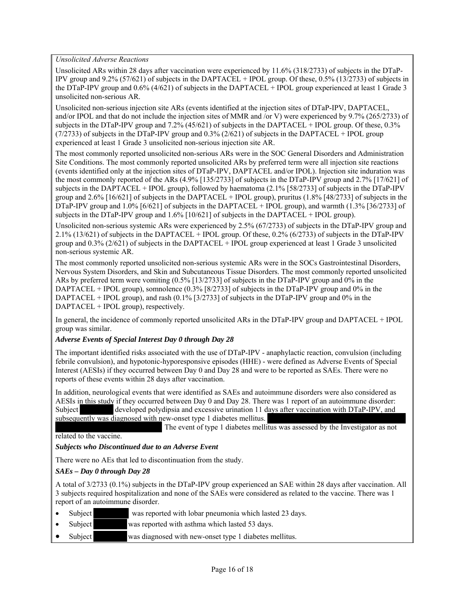*Unsolicited Adverse Reactions* 

Unsolicited ARs within 28 days after vaccination were experienced by 11.6% (318/2733) of subjects in the DTaP-IPV group and 9.2% (57/621) of subjects in the DAPTACEL + IPOL group. Of these, 0.5% (13/2733) of subjects in the DTaP-IPV group and 0.6% (4/621) of subjects in the DAPTACEL + IPOL group experienced at least 1 Grade 3 unsolicited non-serious AR.

Unsolicited non-serious injection site ARs (events identified at the injection sites of DTaP-IPV, DAPTACEL, and/or IPOL and that do not include the injection sites of MMR and /or V) were experienced by 9.7% (265/2733) of subjects in the DTaP-IPV group and 7.2% (45/621) of subjects in the DAPTACEL + IPOL group. Of these, 0.3%  $(7/2733)$  of subjects in the DTaP-IPV group and 0.3% (2/621) of subjects in the DAPTACEL + IPOL group experienced at least 1 Grade 3 unsolicited non-serious injection site AR.

The most commonly reported unsolicited non-serious ARs were in the SOC General Disorders and Administration Site Conditions. The most commonly reported unsolicited ARs by preferred term were all injection site reactions (events identified only at the injection sites of DTaP-IPV, DAPTACEL and/or IPOL). Injection site induration was the most commonly reported of the ARs (4.9% [135/2733] of subjects in the DTaP-IPV group and 2.7% [17/621] of subjects in the DAPTACEL + IPOL group), followed by haematoma (2.1% [58/2733] of subjects in the DTaP-IPV group and  $2.6\%$  [16/621] of subjects in the DAPTACEL + IPOL group), pruritus (1.8% [48/2733] of subjects in the DTaP-IPV group and  $1.0\%$  [6/621] of subjects in the DAPTACEL + IPOL group), and warmth (1.3% [36/2733] of subjects in the DTaP-IPV group and 1.6% [10/621] of subjects in the DAPTACEL + IPOL group).

Unsolicited non-serious systemic ARs were experienced by 2.5% (67/2733) of subjects in the DTaP-IPV group and 2.1% (13/621) of subjects in the DAPTACEL + IPOL group. Of these, 0.2% (6/2733) of subjects in the DTaP-IPV group and 0.3% (2/621) of subjects in the DAPTACEL + IPOL group experienced at least 1 Grade 3 unsolicited non-serious systemic AR.

The most commonly reported unsolicited non-serious systemic ARs were in the SOCs Gastrointestinal Disorders, Nervous System Disorders, and Skin and Subcutaneous Tissue Disorders. The most commonly reported unsolicited ARs by preferred term were vomiting (0.5% [13/2733] of subjects in the DTaP-IPV group and 0% in the DAPTACEL + IPOL group), somnolence (0.3% [8/2733] of subjects in the DTaP-IPV group and 0% in the DAPTACEL + IPOL group), and rash  $(0.1\%$  [3/2733] of subjects in the DTaP-IPV group and 0% in the DAPTACEL + IPOL group), respectively.

In general, the incidence of commonly reported unsolicited ARs in the DTaP-IPV group and DAPTACEL + IPOL group was similar.

#### *Adverse Events of Special Interest Day 0 through Day 28*

The important identified risks associated with the use of DTaP-IPV - anaphylactic reaction, convulsion (including febrile convulsion), and hypotonic-hyporesponsive episodes (HHE) - were defined as Adverse Events of Special Interest (AESIs) if they occurred between Day 0 and Day 28 and were to be reported as SAEs. There were no reports of these events within 28 days after vaccination.

In addition, neurological events that were identified as SAEs and autoimmune disorders were also considered as AESIs in this study if they occurred between Day 0 and Day 28. There was 1 report of an autoimmune disorder: Subject developed polydipsia and excessive urination 11 days after vaccination with DTaP-IPV, and subsequently was diagnosed with new-onset type 1 diabetes mellitus.

The event of type 1 diabetes mellitus was assessed by the Investigator as not

related to the vaccine.

#### *Subjects who Discontinued due to an Adverse Event*

There were no AEs that led to discontinuation from the study.

### *SAEs – Day 0 through Day 28*

A total of 3/2733 (0.1%) subjects in the DTaP-IPV group experienced an SAE within 28 days after vaccination. All 3 subjects required hospitalization and none of the SAEs were considered as related to the vaccine. There was 1 report of an autoimmune disorder.

- Subject was reported with lobar pneumonia which lasted 23 days.
- Subject was reported with asthma which lasted 53 days.
- Subject was diagnosed with new-onset type 1 diabetes mellitus.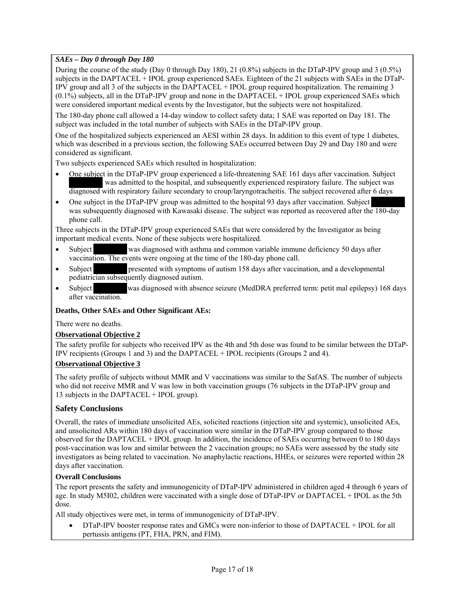## *SAEs – Day 0 through Day 180*

During the course of the study (Day 0 through Day 180), 21 (0.8%) subjects in the DTaP-IPV group and 3 (0.5%) subjects in the DAPTACEL + IPOL group experienced SAEs. Eighteen of the 21 subjects with SAEs in the DTaP-IPV group and all 3 of the subjects in the DAPTACEL + IPOL group required hospitalization. The remaining 3 (0.1%) subjects, all in the DTaP-IPV group and none in the DAPTACEL + IPOL group experienced SAEs which were considered important medical events by the Investigator, but the subjects were not hospitalized.

The 180-day phone call allowed a 14-day window to collect safety data; 1 SAE was reported on Day 181. The subject was included in the total number of subjects with SAEs in the DTaP-IPV group.

One of the hospitalized subjects experienced an AESI within 28 days. In addition to this event of type 1 diabetes, which was described in a previous section, the following SAEs occurred between Day 29 and Day 180 and were considered as significant.

Two subjects experienced SAEs which resulted in hospitalization:

- One subject in the DTaP-IPV group experienced a life-threatening SAE 161 days after vaccination. Subject was admitted to the hospital, and subsequently experienced respiratory failure. The subject was diagnosed with respiratory failure secondary to croup/laryngotracheitis. The subject recovered after 6 days
- One subject in the DTaP-IPV group was admitted to the hospital 93 days after vaccination. Subject was subsequently diagnosed with Kawasaki disease. The subject was reported as recovered after the 180-day phone call.

Three subjects in the DTaP-IPV group experienced SAEs that were considered by the Investigator as being important medical events. None of these subjects were hospitalized.

- Subject was diagnosed with asthma and common variable immune deficiency 50 days after vaccination. The events were ongoing at the time of the 180-day phone call.
- Subject presented with symptoms of autism 158 days after vaccination, and a developmental pediatrician subsequently diagnosed autism.
- Subject was diagnosed with absence seizure (MedDRA preferred term: petit mal epilepsy) 168 days after vaccination.

## **Deaths, Other SAEs and Other Significant AEs:**

There were no deaths.

#### **Observational Objective 2**

The safety profile for subjects who received IPV as the 4th and 5th dose was found to be similar between the DTaP-IPV recipients (Groups 1 and 3) and the DAPTACEL + IPOL recipients (Groups 2 and 4).

#### **Observational Objective 3**

The safety profile of subjects without MMR and V vaccinations was similar to the SafAS. The number of subjects who did not receive MMR and V was low in both vaccination groups (76 subjects in the DTaP-IPV group and 13 subjects in the DAPTACEL + IPOL group).

## **Safety Conclusions**

Overall, the rates of immediate unsolicited AEs, solicited reactions (injection site and systemic), unsolicited AEs, and unsolicited ARs within 180 days of vaccination were similar in the DTaP-IPV group compared to those observed for the DAPTACEL + IPOL group. In addition, the incidence of SAEs occurring between 0 to 180 days post-vaccination was low and similar between the 2 vaccination groups; no SAEs were assessed by the study site investigators as being related to vaccination. No anaphylactic reactions, HHEs, or seizures were reported within 28 days after vaccination.

#### **Overall Conclusions**

The report presents the safety and immunogenicity of DTaP-IPV administered in children aged 4 through 6 years of age. In study M5I02, children were vaccinated with a single dose of DTaP-IPV or DAPTACEL + IPOL as the 5th dose.

All study objectives were met, in terms of immunogenicity of DTaP-IPV.

 DTaP-IPV booster response rates and GMCs were non-inferior to those of DAPTACEL + IPOL for all pertussis antigens (PT, FHA, PRN, and FIM).